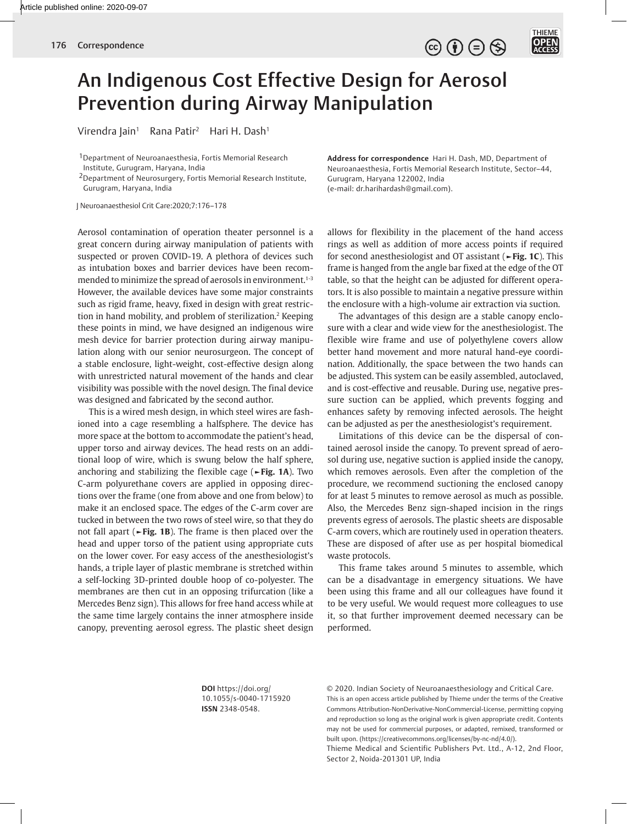$\circledcirc \bullet \circledcirc \circledcirc$ 



## An Indigenous Cost Effective Design for Aerosol Prevention during Airway Manipulation

Virendra Jain<sup>1</sup> Rana Patir<sup>2</sup> Hari H. Dash<sup>1</sup>

1Department of Neuroanaesthesia, Fortis Memorial Research Institute, Gurugram, Haryana, India

2Department of Neurosurgery, Fortis Memorial Research Institute, Gurugram, Haryana, India

J Neuroanaesthesiol Crit Care:2020;7:176–178

Aerosol contamination of operation theater personnel is a great concern during airway manipulation of patients with suspected or proven COVID-19. A plethora of devices such as intubation boxes and barrier devices have been recommended to minimize the spread of aerosols in environment.<sup>1-3</sup> However, the available devices have some major constraints such as rigid frame, heavy, fixed in design with great restriction in hand mobility, and problem of sterilization.<sup>2</sup> Keeping these points in mind, we have designed an indigenous wire mesh device for barrier protection during airway manipulation along with our senior neurosurgeon. The concept of a stable enclosure, light-weight, cost-effective design along with unrestricted natural movement of the hands and clear visibility was possible with the novel design. The final device was designed and fabricated by the second author.

This is a wired mesh design, in which steel wires are fashioned into a cage resembling a halfsphere. The device has more space at the bottom to accommodate the patient's head, upper torso and airway devices. The head rests on an additional loop of wire, which is swung below the half sphere, anchoring and stabilizing the flexible cage (**►Fig. 1A**). Two C-arm polyurethane covers are applied in opposing directions over the frame (one from above and one from below) to make it an enclosed space. The edges of the C-arm cover are tucked in between the two rows of steel wire, so that they do not fall apart (**►Fig. 1B**). The frame is then placed over the head and upper torso of the patient using appropriate cuts on the lower cover. For easy access of the anesthesiologist's hands, a triple layer of plastic membrane is stretched within a self-locking 3D-printed double hoop of co-polyester. The membranes are then cut in an opposing trifurcation (like a Mercedes Benz sign). This allows for free hand access while at the same time largely contains the inner atmosphere inside canopy, preventing aerosol egress. The plastic sheet design **Address for correspondence** Hari H. Dash, MD, Department of Neuroanaesthesia, Fortis Memorial Research Institute, Sector–44, Gurugram, Haryana 122002, India (e-mail: dr.harihardash@gmail.com).

allows for flexibility in the placement of the hand access rings as well as addition of more access points if required for second anesthesiologist and OT assistant (**►Fig. 1C**). This frame is hanged from the angle bar fixed at the edge of the OT table, so that the height can be adjusted for different operators. It is also possible to maintain a negative pressure within the enclosure with a high-volume air extraction via suction.

The advantages of this design are a stable canopy enclosure with a clear and wide view for the anesthesiologist. The flexible wire frame and use of polyethylene covers allow better hand movement and more natural hand-eye coordination. Additionally, the space between the two hands can be adjusted. This system can be easily assembled, autoclaved, and is cost-effective and reusable. During use, negative pressure suction can be applied, which prevents fogging and enhances safety by removing infected aerosols. The height can be adjusted as per the anesthesiologist's requirement.

Limitations of this device can be the dispersal of contained aerosol inside the canopy. To prevent spread of aerosol during use, negative suction is applied inside the canopy, which removes aerosols. Even after the completion of the procedure, we recommend suctioning the enclosed canopy for at least 5 minutes to remove aerosol as much as possible. Also, the Mercedes Benz sign-shaped incision in the rings prevents egress of aerosols. The plastic sheets are disposable C-arm covers, which are routinely used in operation theaters. These are disposed of after use as per hospital biomedical waste protocols.

This frame takes around 5 minutes to assemble, which can be a disadvantage in emergency situations. We have been using this frame and all our colleagues have found it to be very useful. We would request more colleagues to use it, so that further improvement deemed necessary can be performed.

**DOI** https://doi.org/ 10.1055/s-0040-1715920 **ISSN** 2348-0548.

© 2020. Indian Society of Neuroanaesthesiology and Critical Care. This is an open access article published by Thieme under the terms of the Creative Commons Attribution-NonDerivative-NonCommercial-License, permitting copying and reproduction so long as the original work is given appropriate credit. Contents may not be used for commercial purposes, or adapted, remixed, transformed or built upon. (https://creativecommons.org/licenses/by-nc-nd/4.0/). Thieme Medical and Scientific Publishers Pvt. Ltd., A-12, 2nd Floor,

Sector 2, Noida-201301 UP, India